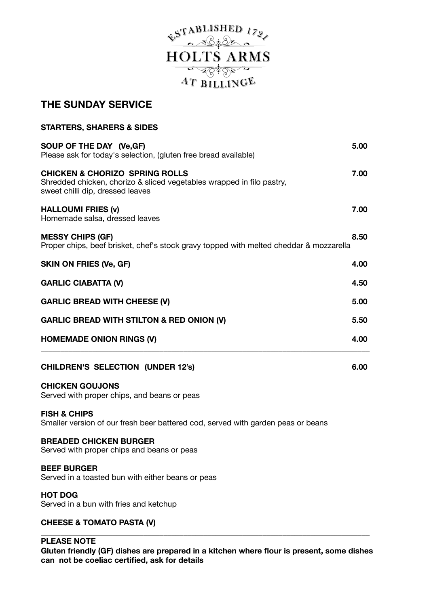

# **THE SUNDAY SERVICE**

| <b>STARTERS, SHARERS &amp; SIDES</b>                                                                                                                   |      |
|--------------------------------------------------------------------------------------------------------------------------------------------------------|------|
| SOUP OF THE DAY (Ve, GF)<br>Please ask for today's selection, (gluten free bread available)                                                            | 5.00 |
| <b>CHICKEN &amp; CHORIZO SPRING ROLLS</b><br>Shredded chicken, chorizo & sliced vegetables wrapped in filo pastry,<br>sweet chilli dip, dressed leaves | 7.00 |
| <b>HALLOUMI FRIES (v)</b><br>Homemade salsa, dressed leaves                                                                                            | 7.00 |
| <b>MESSY CHIPS (GF)</b><br>Proper chips, beef brisket, chef's stock gravy topped with melted cheddar & mozzarella                                      | 8.50 |
| <b>SKIN ON FRIES (Ve, GF)</b>                                                                                                                          | 4.00 |
| <b>GARLIC CIABATTA (V)</b>                                                                                                                             | 4.50 |
| <b>GARLIC BREAD WITH CHEESE (V)</b>                                                                                                                    | 5.00 |
| <b>GARLIC BREAD WITH STILTON &amp; RED ONION (V)</b>                                                                                                   | 5.50 |
| <b>HOMEMADE ONION RINGS (V)</b>                                                                                                                        | 4.00 |
| <b>CHILDREN'S SELECTION (UNDER 12's)</b>                                                                                                               | 6.00 |
| <b>CHICKEN GOUJONS</b><br>Served with proper chips, and beans or peas                                                                                  |      |

## **FISH & CHIPS**

Smaller version of our fresh beer battered cod, served with garden peas or beans

#### **BREADED CHICKEN BURGER**

Served with proper chips and beans or peas 

#### **BEEF BURGER**

Served in a toasted bun with either beans or peas

#### **HOT DOG**

Served in a bun with fries and ketchup

## **CHEESE & TOMATO PASTA (V)**

## **PLEASE NOTE**

**Gluten friendly (GF) dishes are prepared in a kitchen where flour is present, some dishes can not be coeliac certified, ask for details** 

**\_\_\_\_\_\_\_\_\_\_\_\_\_\_\_\_\_\_\_\_\_\_\_\_\_\_\_\_\_\_\_\_\_\_\_\_\_\_\_\_\_\_\_\_\_\_\_\_\_\_\_\_\_\_\_\_\_\_\_\_\_\_\_\_\_\_\_\_\_\_\_\_\_\_\_\_\_\_\_\_\_\_\_**